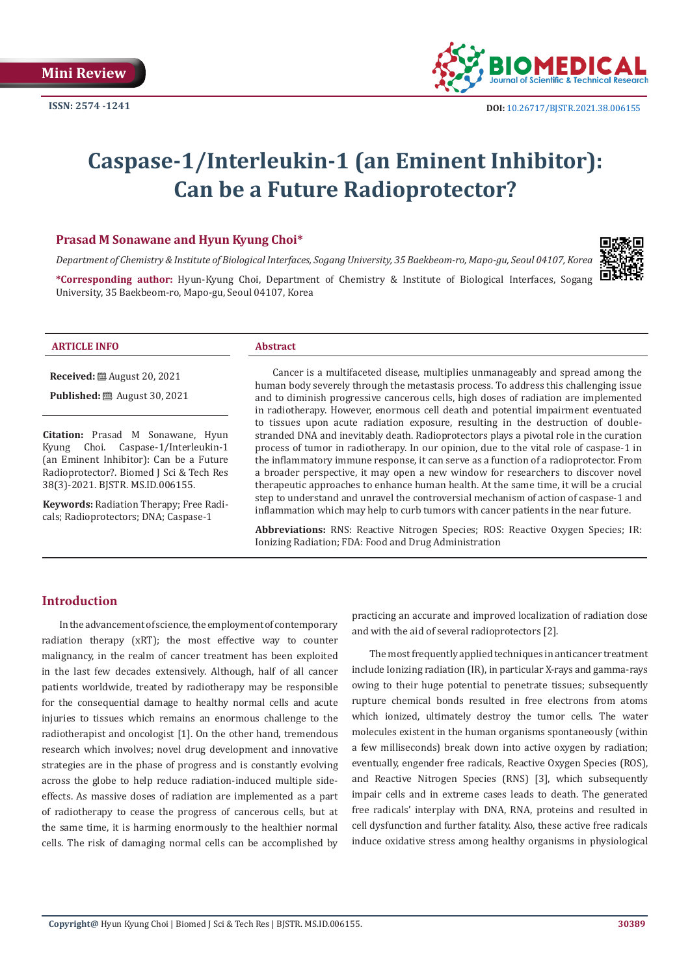

# **Caspase-1/Interleukin-1 (an Eminent Inhibitor): Can be a Future Radioprotector?**

## **Prasad M Sonawane and Hyun Kyung Choi\***

*Department of Chemistry & Institute of Biological Interfaces, Sogang University, 35 Baekbeom-ro, Mapo-gu, Seoul 04107, Korea*

**\*Corresponding author:** Hyun-Kyung Choi, Department of Chemistry & Institute of Biological Interfaces, Sogang University, 35 Baekbeom-ro, Mapo-gu, Seoul 04107, Korea

| . |
|---|
|---|

**Received:** August 20, 2021

**Published:** ■ August 30, 2021

**Citation:** Prasad M Sonawane, Hyun Kyung Choi. Caspase-1/Interleukin-1 (an Eminent Inhibitor): Can be a Future Radioprotector?. Biomed J Sci & Tech Res 38(3)-2021. BJSTR. MS.ID.006155.

**Keywords:** Radiation Therapy; Free Radicals; Radioprotectors; DNA; Caspase-1

Cancer is a multifaceted disease, multiplies unmanageably and spread among the human body severely through the metastasis process. To address this challenging issue and to diminish progressive cancerous cells, high doses of radiation are implemented in radiotherapy. However, enormous cell death and potential impairment eventuated to tissues upon acute radiation exposure, resulting in the destruction of doublestranded DNA and inevitably death. Radioprotectors plays a pivotal role in the curation process of tumor in radiotherapy. In our opinion, due to the vital role of caspase-1 in the inflammatory immune response, it can serve as a function of a radioprotector. From a broader perspective, it may open a new window for researchers to discover novel therapeutic approaches to enhance human health. At the same time, it will be a crucial step to understand and unravel the controversial mechanism of action of caspase-1 and inflammation which may help to curb tumors with cancer patients in the near future.

**Abbreviations:** RNS: Reactive Nitrogen Species; ROS: Reactive Oxygen Species; IR: Ionizing Radiation; FDA: Food and Drug Administration

## **Introduction**

In the advancement of science, the employment of contemporary radiation therapy (xRT); the most effective way to counter malignancy, in the realm of cancer treatment has been exploited in the last few decades extensively. Although, half of all cancer patients worldwide, treated by radiotherapy may be responsible for the consequential damage to healthy normal cells and acute injuries to tissues which remains an enormous challenge to the radiotherapist and oncologist [1]. On the other hand, tremendous research which involves; novel drug development and innovative strategies are in the phase of progress and is constantly evolving across the globe to help reduce radiation-induced multiple sideeffects. As massive doses of radiation are implemented as a part of radiotherapy to cease the progress of cancerous cells, but at the same time, it is harming enormously to the healthier normal cells. The risk of damaging normal cells can be accomplished by practicing an accurate and improved localization of radiation dose and with the aid of several radioprotectors [2].

The most frequently applied techniques in anticancer treatment include Ionizing radiation (IR), in particular X-rays and gamma-rays owing to their huge potential to penetrate tissues; subsequently rupture chemical bonds resulted in free electrons from atoms which ionized, ultimately destroy the tumor cells. The water molecules existent in the human organisms spontaneously (within a few milliseconds) break down into active oxygen by radiation; eventually, engender free radicals, Reactive Oxygen Species (ROS), and Reactive Nitrogen Species (RNS) [3], which subsequently impair cells and in extreme cases leads to death. The generated free radicals' interplay with DNA, RNA, proteins and resulted in cell dysfunction and further fatality. Also, these active free radicals induce oxidative stress among healthy organisms in physiological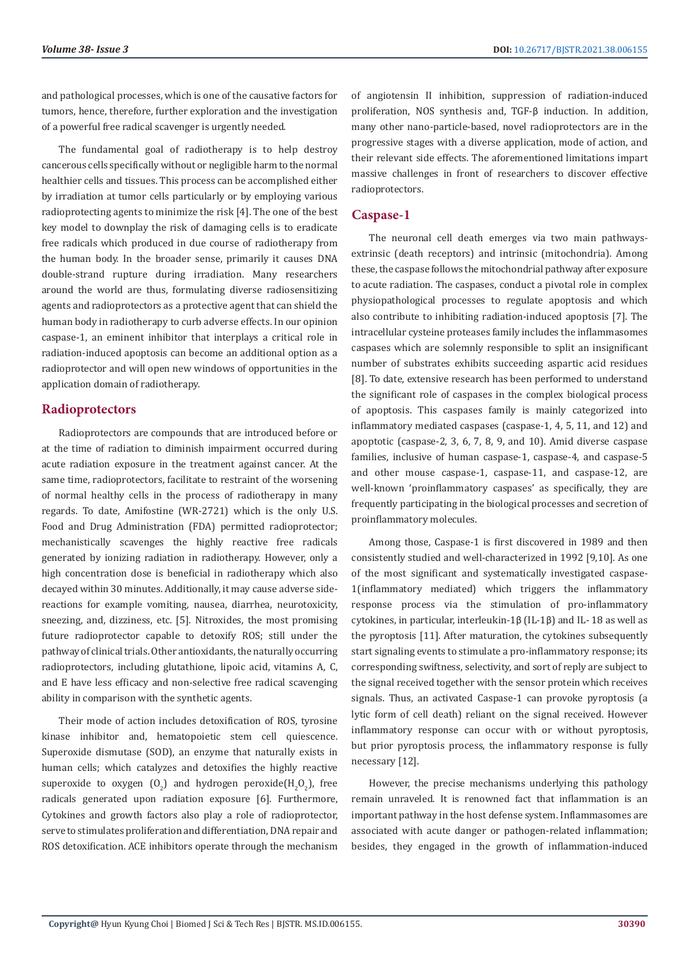and pathological processes, which is one of the causative factors for tumors, hence, therefore, further exploration and the investigation of a powerful free radical scavenger is urgently needed.

The fundamental goal of radiotherapy is to help destroy cancerous cells specifically without or negligible harm to the normal healthier cells and tissues. This process can be accomplished either by irradiation at tumor cells particularly or by employing various radioprotecting agents to minimize the risk [4]. The one of the best key model to downplay the risk of damaging cells is to eradicate free radicals which produced in due course of radiotherapy from the human body. In the broader sense, primarily it causes DNA double-strand rupture during irradiation. Many researchers around the world are thus, formulating diverse radiosensitizing agents and radioprotectors as a protective agent that can shield the human body in radiotherapy to curb adverse effects. In our opinion caspase-1, an eminent inhibitor that interplays a critical role in radiation-induced apoptosis can become an additional option as a radioprotector and will open new windows of opportunities in the application domain of radiotherapy.

### **Radioprotectors**

Radioprotectors are compounds that are introduced before or at the time of radiation to diminish impairment occurred during acute radiation exposure in the treatment against cancer. At the same time, radioprotectors, facilitate to restraint of the worsening of normal healthy cells in the process of radiotherapy in many regards. To date, Amifostine (WR-2721) which is the only U.S. Food and Drug Administration (FDA) permitted radioprotector; mechanistically scavenges the highly reactive free radicals generated by ionizing radiation in radiotherapy. However, only a high concentration dose is beneficial in radiotherapy which also decayed within 30 minutes. Additionally, it may cause adverse sidereactions for example vomiting, nausea, diarrhea, neurotoxicity, sneezing, and, dizziness, etc. [5]. Nitroxides, the most promising future radioprotector capable to detoxify ROS; still under the pathway of clinical trials. Other antioxidants, the naturally occurring radioprotectors, including glutathione, lipoic acid, vitamins A, C, and E have less efficacy and non-selective free radical scavenging ability in comparison with the synthetic agents.

Their mode of action includes detoxification of ROS, tyrosine kinase inhibitor and, hematopoietic stem cell quiescence. Superoxide dismutase (SOD), an enzyme that naturally exists in human cells; which catalyzes and detoxifies the highly reactive superoxide to oxygen  $(0<sub>2</sub>)$  and hydrogen peroxide $(H<sub>2</sub>0<sub>2</sub>)$ , free radicals generated upon radiation exposure [6]. Furthermore, Cytokines and growth factors also play a role of radioprotector, serve to stimulates proliferation and differentiation, DNA repair and ROS detoxification. ACE inhibitors operate through the mechanism

of angiotensin II inhibition, suppression of radiation-induced proliferation, NOS synthesis and, TGF-β induction. In addition, many other nano-particle-based, novel radioprotectors are in the progressive stages with a diverse application, mode of action, and their relevant side effects. The aforementioned limitations impart massive challenges in front of researchers to discover effective radioprotectors.

## **Caspase-1**

The neuronal cell death emerges via two main pathwaysextrinsic (death receptors) and intrinsic (mitochondria). Among these, the caspase follows the mitochondrial pathway after exposure to acute radiation. The caspases, conduct a pivotal role in complex physiopathological processes to regulate apoptosis and which also contribute to inhibiting radiation-induced apoptosis [7]. The intracellular cysteine proteases family includes the inflammasomes caspases which are solemnly responsible to split an insignificant number of substrates exhibits succeeding aspartic acid residues [8]. To date, extensive research has been performed to understand the significant role of caspases in the complex biological process of apoptosis. This caspases family is mainly categorized into inflammatory mediated caspases (caspase-1, 4, 5, 11, and 12) and apoptotic (caspase-2, 3, 6, 7, 8, 9, and 10). Amid diverse caspase families, inclusive of human caspase-1, caspase-4, and caspase-5 and other mouse caspase-1, caspase-11, and caspase-12, are well-known 'proinflammatory caspases' as specifically, they are frequently participating in the biological processes and secretion of proinflammatory molecules.

Among those, Caspase-1 is first discovered in 1989 and then consistently studied and well-characterized in 1992 [9,10]. As one of the most significant and systematically investigated caspase-1(inflammatory mediated) which triggers the inflammatory response process via the stimulation of pro-inflammatory cytokines, in particular, interleukin-1β (IL-1β) and IL- 18 as well as the pyroptosis [11]. After maturation, the cytokines subsequently start signaling events to stimulate a pro-inflammatory response; its corresponding swiftness, selectivity, and sort of reply are subject to the signal received together with the sensor protein which receives signals. Thus, an activated Caspase-1 can provoke pyroptosis (a lytic form of cell death) reliant on the signal received. However inflammatory response can occur with or without pyroptosis, but prior pyroptosis process, the inflammatory response is fully necessary [12].

However, the precise mechanisms underlying this pathology remain unraveled. It is renowned fact that inflammation is an important pathway in the host defense system. Inflammasomes are associated with acute danger or pathogen-related inflammation; besides, they engaged in the growth of inflammation-induced